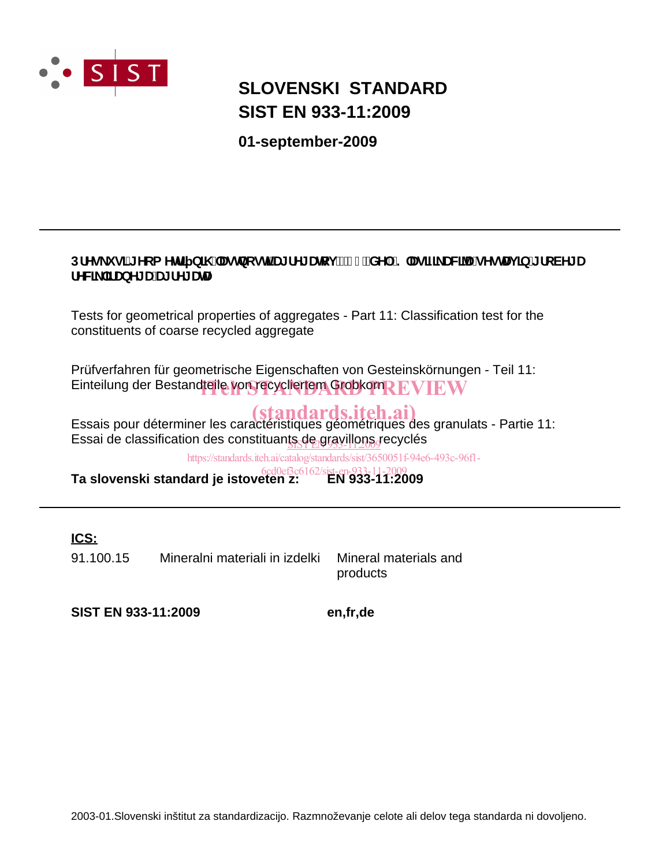

## **SIST EN 933-11:2009 SLOVENSKI STANDARD**

**01-september-2009**

## DfYg\_i g]'[Yca YH] b]\ "Uglbcgh**'U**[fY[Urcj'!'%"XY.'?`Ug]Z\_UNJUgYgHJj]b'[fcVY[U **FYWL`JfUbY[UUJfY[UHJ]**

Tests for geometrical properties of aggregates - Part 11: Classification test for the constituents of coarse recycled aggregate

Prüfverfahren für geometrische Eigenschaften von Gesteinskörnungen - Teil 11: Einteilung der Bestandteile von recycliertem Grobkorn REVIEW

Essais pour déterminer les caractéristiques géométriques des granulats - Partie 11: Essai de classification des constituan<u>ts de gravillons g</u>ecyclés

https://standards.iteh.ai/catalog/standards/sist/3650051f-94e6-493c-96f1-

**Ta slovenski standard je istoveten z: EN 933-11:2009** 6cd0ef3c6162/sist-en-933-11-2009

## **ICS:**

91.100.15 Mineralni materiali in izdelki Mineral materials and

products

**SIST EN 933-11:2009 en,fr,de**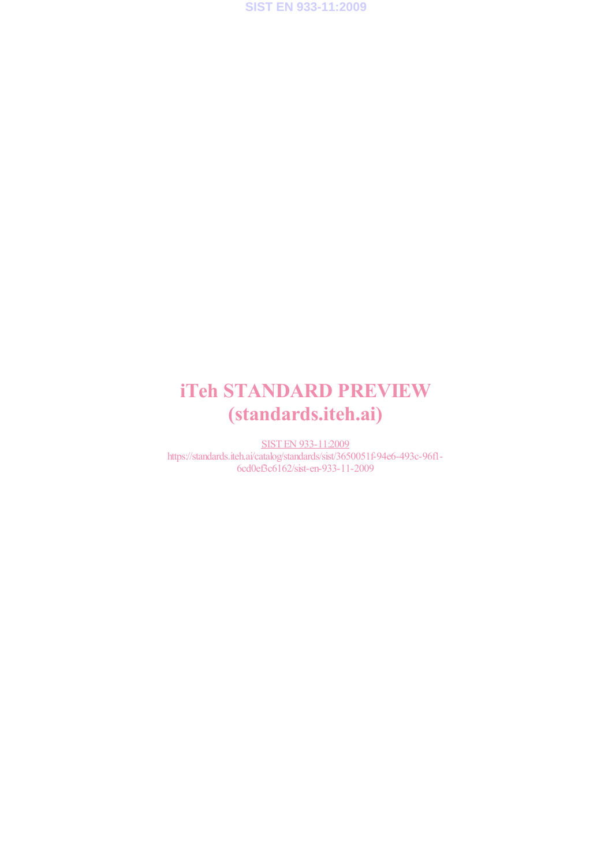

# iTeh STANDARD PREVIEW (standards.iteh.ai)

SIST EN 933-11:2009 https://standards.iteh.ai/catalog/standards/sist/3650051f-94e6-493c-96f1- 6cd0ef3c6162/sist-en-933-11-2009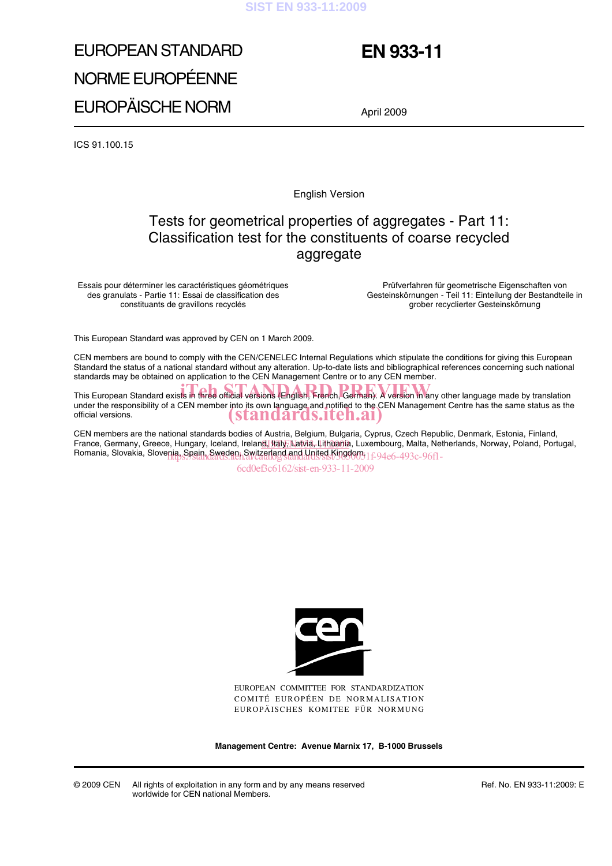#### **SIST EN 933-11:2009**

# EUROPEAN STANDARD NORME EUROPÉENNE EUROPÄISCHE NORM

## **EN 933-11**

April 2009

ICS 91.100.15

English Version

## Tests for geometrical properties of aggregates - Part 11: Classification test for the constituents of coarse recycled aggregate

Essais pour déterminer les caractéristiques géométriques des granulats - Partie 11: Essai de classification des constituants de gravillons recyclés

Prüfverfahren für geometrische Eigenschaften von Gesteinskörnungen - Teil 11: Einteilung der Bestandteile in grober recyclierter Gesteinskörnung

This European Standard was approved by CEN on 1 March 2009.

CEN members are bound to comply with the CEN/CENELEC Internal Regulations which stipulate the conditions for giving this European Standard the status of a national standard without any alteration. Up-to-date lists and bibliographical references concerning such national standards may be obtained on application to the CEN Management Centre or to any CEN member.

This European Standard exists in three official versions (English, French, German). A version in any other language made by translation under the responsibility of a CEN member into its own language and notified to the CEN Management Centre has the same status as the official versions. (standards.iteh.ai)

CEN members are the national standards bodies of Austria, Belgium, Bulgaria, Cyprus, Czech Republic, Denmark, Estonia, Finland, France, Germany, Greece, Hungary, Iceland, Ireland, Italy, Latvia, Lithuania, Luxembourg, Malta, Netherlands, Norway, Poland, Portugal, Romania, Slovakia, Slovenia, Spain, Sweden, Switzerland and United Kingdom. 1f-94e6-493c-96f1-

6cd0ef3c6162/sist-en-933-11-2009



EUROPEAN COMMITTEE FOR STANDARDIZATION COMITÉ EUROPÉEN DE NORMALISATION EUROPÄISCHES KOMITEE FÜR NORMUNG

**Management Centre: Avenue Marnix 17, B-1000 Brussels**

© 2009 CEN All rights of exploitation in any form and by any means reserved worldwide for CEN national Members.

Ref. No. EN 933-11:2009: E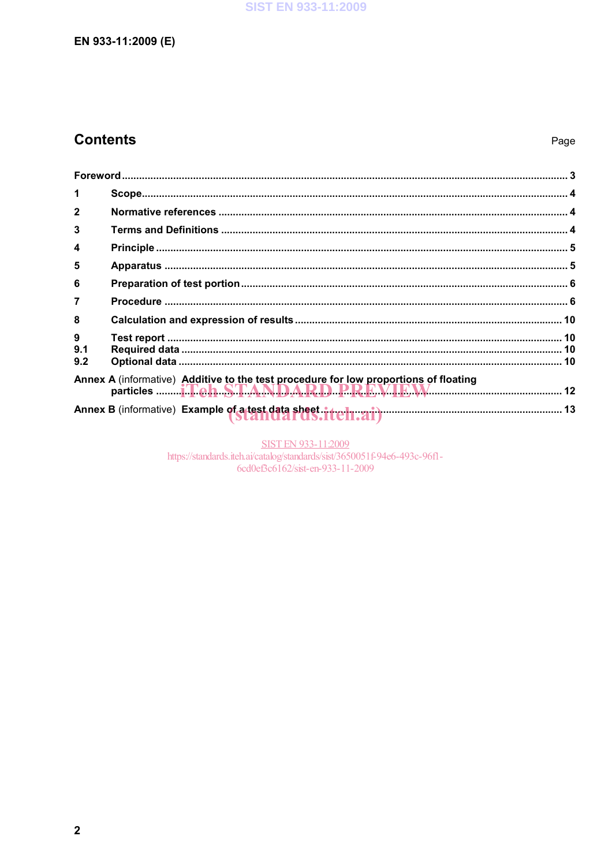## **Contents**

| 1               |                                                                                      |  |
|-----------------|--------------------------------------------------------------------------------------|--|
| $\mathbf{2}$    |                                                                                      |  |
| 3               |                                                                                      |  |
| 4               |                                                                                      |  |
| 5               |                                                                                      |  |
| 6               |                                                                                      |  |
| $\overline{7}$  |                                                                                      |  |
| 8               |                                                                                      |  |
| 9<br>9.1<br>9.2 |                                                                                      |  |
|                 | Annex A (informative) Additive to the test procedure for low proportions of floating |  |
|                 |                                                                                      |  |

SIST EN 933-11:2009<br>https://standards.iteh.ai/catalog/standards/sist/3650051f-94e6-493c-96f1-6cd0ef3c6162/sist-en-933-11-2009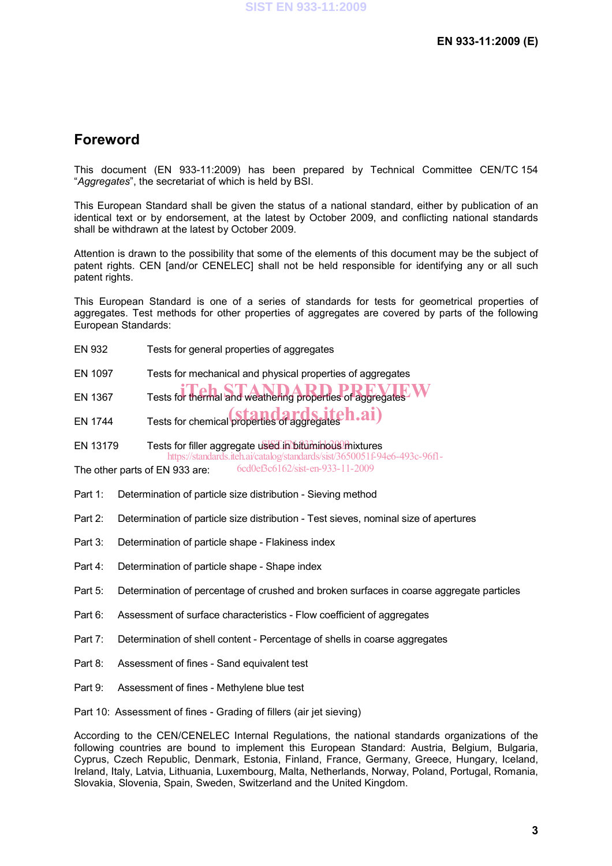## **Foreword**

This document (EN 933-11:2009) has been prepared by Technical Committee CEN/TC 154 "*Aggregates*", the secretariat of which is held by BSI.

This European Standard shall be given the status of a national standard, either by publication of an identical text or by endorsement, at the latest by October 2009, and conflicting national standards shall be withdrawn at the latest by October 2009.

Attention is drawn to the possibility that some of the elements of this document may be the subject of patent rights. CEN [and/or CENELEC] shall not be held responsible for identifying any or all such patent rights.

This European Standard is one of a series of standards for tests for geometrical properties of aggregates. Test methods for other properties of aggregates are covered by parts of the following European Standards:

| EN 932 | Tests for general properties of aggregates |
|--------|--------------------------------------------|
|--------|--------------------------------------------|

EN 1097 Tests for mechanical and physical properties of aggregates

EN 1367 Tests for thermal and weathering properties of aggregates

EN 1744 Tests for chemical properties of aggregates  $\ln a$ i)

EN 13179 Tests for filler aggregate used in bituminous mixtures https://standards.iteh.ai/catalog/standards/sist/3650051f-94e6-493c-96f1-

The other parts of EN 933 are: 6cd0ef3c6162/sist-en-933-11-2009

- Part 1: Determination of particle size distribution Sieving method
- Part 2: Determination of particle size distribution Test sieves, nominal size of apertures
- Part 3: Determination of particle shape Flakiness index
- Part 4: Determination of particle shape Shape index
- Part 5: Determination of percentage of crushed and broken surfaces in coarse aggregate particles
- Part 6: Assessment of surface characteristics Flow coefficient of aggregates
- Part 7: Determination of shell content Percentage of shells in coarse aggregates
- Part 8: Assessment of fines Sand equivalent test
- Part 9: Assessment of fines Methylene blue test

Part 10: Assessment of fines - Grading of fillers (air jet sieving)

According to the CEN/CENELEC Internal Regulations, the national standards organizations of the following countries are bound to implement this European Standard: Austria, Belgium, Bulgaria, Cyprus, Czech Republic, Denmark, Estonia, Finland, France, Germany, Greece, Hungary, Iceland, Ireland, Italy, Latvia, Lithuania, Luxembourg, Malta, Netherlands, Norway, Poland, Portugal, Romania, Slovakia, Slovenia, Spain, Sweden, Switzerland and the United Kingdom.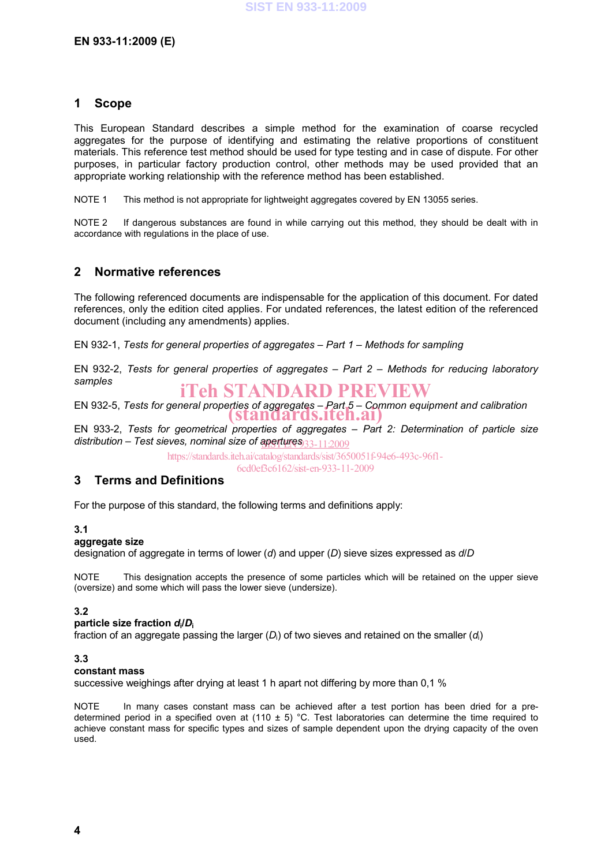#### **1 Scope**

This European Standard describes a simple method for the examination of coarse recycled aggregates for the purpose of identifying and estimating the relative proportions of constituent materials. This reference test method should be used for type testing and in case of dispute. For other purposes, in particular factory production control, other methods may be used provided that an appropriate working relationship with the reference method has been established.

NOTE 1 This method is not appropriate for lightweight aggregates covered by EN 13055 series.

NOTE 2 If dangerous substances are found in while carrying out this method, they should be dealt with in accordance with regulations in the place of use.

#### **2 Normative references**

The following referenced documents are indispensable for the application of this document. For dated references, only the edition cited applies. For undated references, the latest edition of the referenced document (including any amendments) applies.

EN 932-1, *Tests for general properties of aggregates – Part 1 – Methods for sampling*

EN 932-2, *Tests for general properties of aggregates – Part 2 – Methods for reducing laboratory samples*

iTeh STANDARD PREVIEW

EN 932-5, *Tests for general properties of aggregates – Part 5 – Common equipment and calibration* (standards.iteh.ai)

EN 933-2, *Tests for geometrical properties of aggregates* – *Part 2: Determination of particle size distribution – Test sieves, nominal size of apertures* SIST EN 933-11:2009

https://standards.iteh.ai/catalog/standards/sist/3650051f-94e6-493c-96f1-

6cd0ef3c6162/sist-en-933-11-2009

#### **3 Terms and Definitions**

For the purpose of this standard, the following terms and definitions apply:

#### **3.1**

#### **aggregate size**

designation of aggregate in terms of lower (*d*) and upper (*D*) sieve sizes expressed as *d*/*D*

NOTE This designation accepts the presence of some particles which will be retained on the upper sieve (oversize) and some which will pass the lower sieve (undersize).

#### **3.2**

#### **particle size fraction** *d***i/***D***<sup>i</sup>**

fraction of an aggregate passing the larger (D<sub>i</sub>) of two sieves and retained on the smaller (d<sub>i</sub>)

#### **3.3**

#### **constant mass**

successive weighings after drying at least 1 h apart not differing by more than 0,1 %

NOTE In many cases constant mass can be achieved after a test portion has been dried for a predetermined period in a specified oven at (110  $\pm$  5) °C. Test laboratories can determine the time required to achieve constant mass for specific types and sizes of sample dependent upon the drying capacity of the oven used.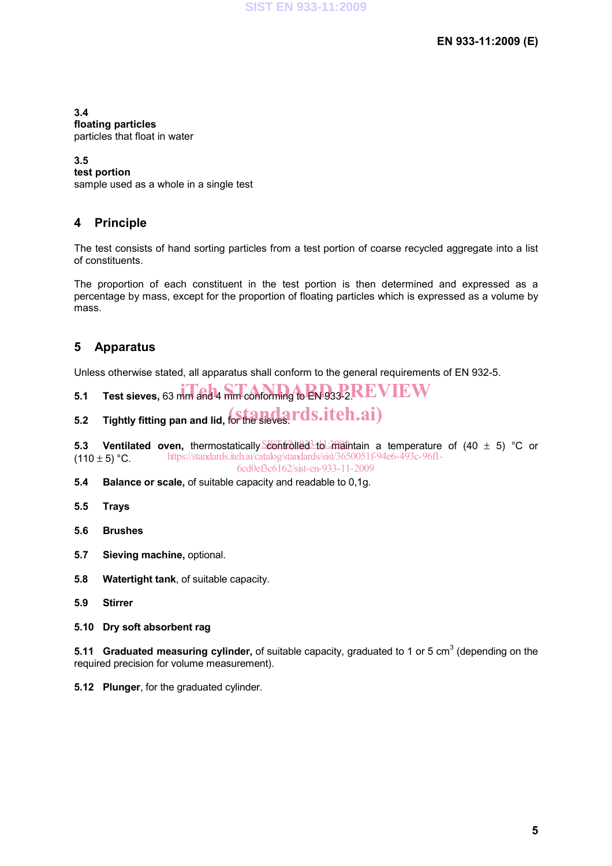**3.4 floating particles**  particles that float in water

#### **3.5**

**test portion** 

sample used as a whole in a single test

### **4 Principle**

The test consists of hand sorting particles from a test portion of coarse recycled aggregate into a list of constituents.

The proportion of each constituent in the test portion is then determined and expressed as a percentage by mass, except for the proportion of floating particles which is expressed as a volume by mass.

### **5 Apparatus**

Unless otherwise stated, all apparatus shall conform to the general requirements of EN 932-5.

- $5.1$  Test sieves, 63 mm and 4 mm conforming to  $\mathbf{EN}93322\mathbf{REVIEW}$
- 5.2 Tightly fitting pan and lid, for the sieves. Tds.iteh.ai)

**5.3 Ventilated oven,** thermostatically **controlled** to maintain a temperature of (40 ± 5) °C or  $(110 \pm 5)$  °C. https://standards.iteh.ai/catalog/standards/sist/3650051f-94e6-493c-96f1- 6cd0ef3c6162/sist-en-933-11-2009

- **5.4 Balance or scale,** of suitable capacity and readable to 0,1g.
- **5.5 Trays**
- **5.6 Brushes**
- **5.7 Sieving machine,** optional.
- **5.8 Watertight tank**, of suitable capacity.
- **5.9 Stirrer**
- **5.10 Dry soft absorbent rag**

**5.11 Graduated measuring cylinder,** of suitable capacity, graduated to 1 or 5 cm<sup>3</sup> (depending on the required precision for volume measurement).

**5.12 Plunger**, for the graduated cylinder.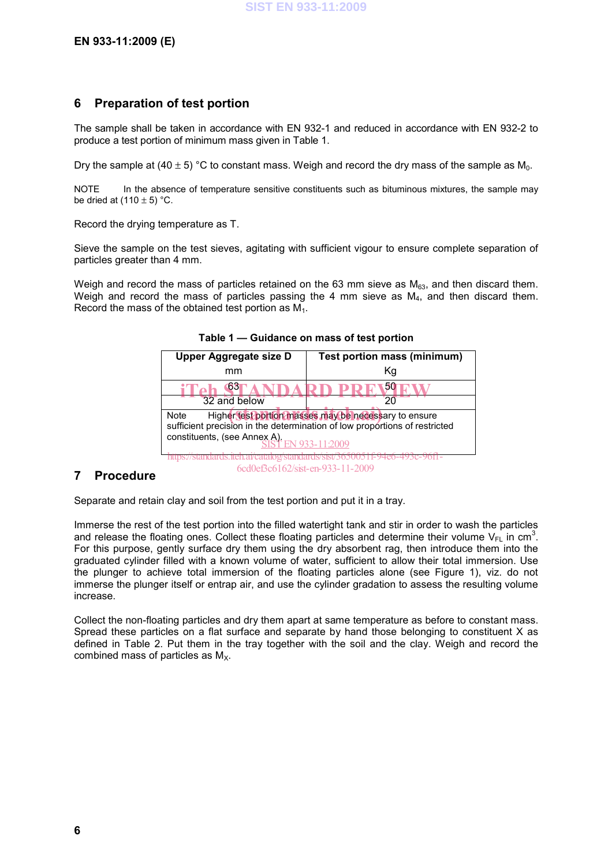#### **6 Preparation of test portion**

The sample shall be taken in accordance with EN 932-1 and reduced in accordance with EN 932-2 to produce a test portion of minimum mass given in Table 1.

Dry the sample at (40  $\pm$  5) °C to constant mass. Weigh and record the dry mass of the sample as  $M_0$ .

NOTE In the absence of temperature sensitive constituents such as bituminous mixtures, the sample may be dried at  $(110 \pm 5)$  °C.

Record the drying temperature as T.

Sieve the sample on the test sieves, agitating with sufficient vigour to ensure complete separation of particles greater than 4 mm.

Weigh and record the mass of particles retained on the 63 mm sieve as  $M_{63}$ , and then discard them. Weigh and record the mass of particles passing the 4 mm sieve as M<sub>4</sub>, and then discard them. Record the mass of the obtained test portion as  $M_1$ .

| Upper Aggregate size D                                                                                                                                                                        | Test portion mass (minimum) |  |  |
|-----------------------------------------------------------------------------------------------------------------------------------------------------------------------------------------------|-----------------------------|--|--|
| mm                                                                                                                                                                                            | Κq                          |  |  |
|                                                                                                                                                                                               |                             |  |  |
| 32 and below                                                                                                                                                                                  |                             |  |  |
| Higher test portion masses may be necessary to ensure<br>Note<br>sufficient precision in the determination of low proportions of restricted<br>constituents, (see Annex A).<br>FN 933-11:2009 |                             |  |  |
|                                                                                                                                                                                               |                             |  |  |

**Table 1 — Guidance on mass of test portion** 

#### **7 Procedure**

Separate and retain clay and soil from the test portion and put it in a tray.

Immerse the rest of the test portion into the filled watertight tank and stir in order to wash the particles and release the floating ones. Collect these floating particles and determine their volume  $V_{FL}$  in cm<sup>3</sup>. For this purpose, gently surface dry them using the dry absorbent rag, then introduce them into the graduated cylinder filled with a known volume of water, sufficient to allow their total immersion. Use the plunger to achieve total immersion of the floating particles alone (see Figure 1), viz. do not immerse the plunger itself or entrap air, and use the cylinder gradation to assess the resulting volume increase.

6cd0ef3c6162/sist-en-933-11-2009

Collect the non-floating particles and dry them apart at same temperature as before to constant mass. Spread these particles on a flat surface and separate by hand those belonging to constituent X as defined in Table 2. Put them in the tray together with the soil and the clay. Weigh and record the combined mass of particles as  $M_X$ .